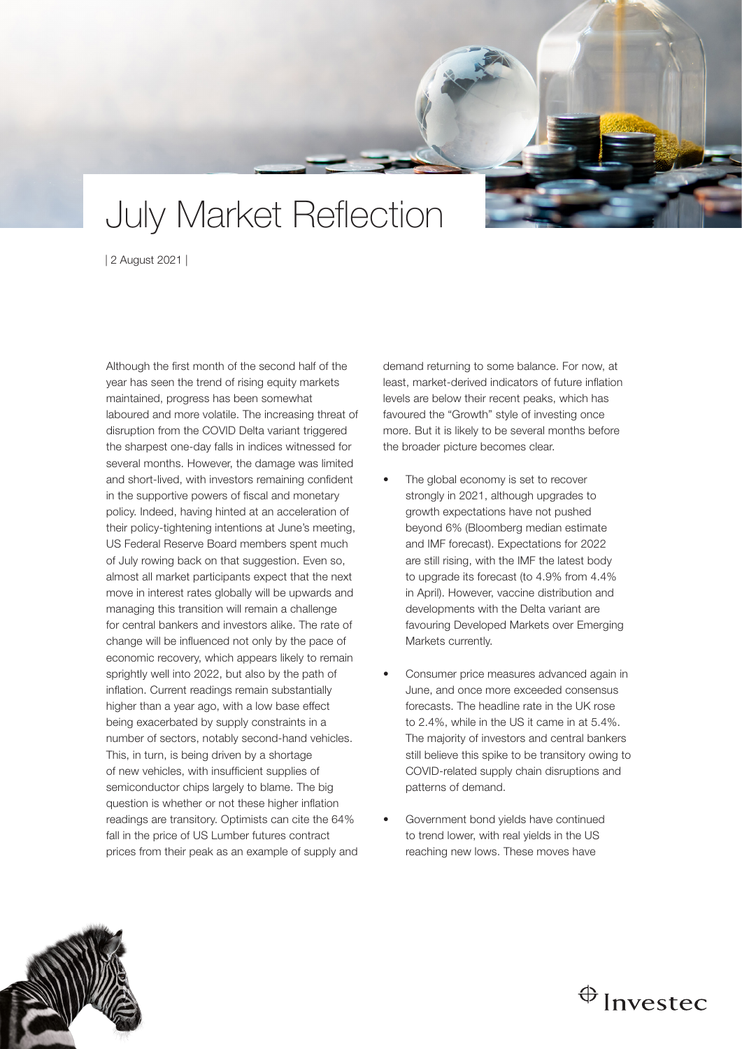## July Market Reflection

| 2 August 2021 |

Although the first month of the second half of the year has seen the trend of rising equity markets maintained, progress has been somewhat laboured and more volatile. The increasing threat of disruption from the COVID Delta variant triggered the sharpest one-day falls in indices witnessed for several months. However, the damage was limited and short-lived, with investors remaining confident in the supportive powers of fiscal and monetary policy. Indeed, having hinted at an acceleration of their policy-tightening intentions at June's meeting, US Federal Reserve Board members spent much of July rowing back on that suggestion. Even so, almost all market participants expect that the next move in interest rates globally will be upwards and managing this transition will remain a challenge for central bankers and investors alike. The rate of change will be influenced not only by the pace of economic recovery, which appears likely to remain sprightly well into 2022, but also by the path of inflation. Current readings remain substantially higher than a year ago, with a low base effect being exacerbated by supply constraints in a number of sectors, notably second-hand vehicles. This, in turn, is being driven by a shortage of new vehicles, with insufficient supplies of semiconductor chips largely to blame. The big question is whether or not these higher inflation readings are transitory. Optimists can cite the 64% fall in the price of US Lumber futures contract prices from their peak as an example of supply and

demand returning to some balance. For now, at least, market-derived indicators of future inflation levels are below their recent peaks, which has favoured the "Growth" style of investing once more. But it is likely to be several months before the broader picture becomes clear.

- The global economy is set to recover strongly in 2021, although upgrades to growth expectations have not pushed beyond 6% (Bloomberg median estimate and IMF forecast). Expectations for 2022 are still rising, with the IMF the latest body to upgrade its forecast (to 4.9% from 4.4% in April). However, vaccine distribution and developments with the Delta variant are favouring Developed Markets over Emerging Markets currently.
- Consumer price measures advanced again in June, and once more exceeded consensus forecasts. The headline rate in the UK rose to 2.4%, while in the US it came in at 5.4%. The majority of investors and central bankers still believe this spike to be transitory owing to COVID-related supply chain disruptions and patterns of demand.
- Government bond yields have continued to trend lower, with real yields in the US reaching new lows. These moves have